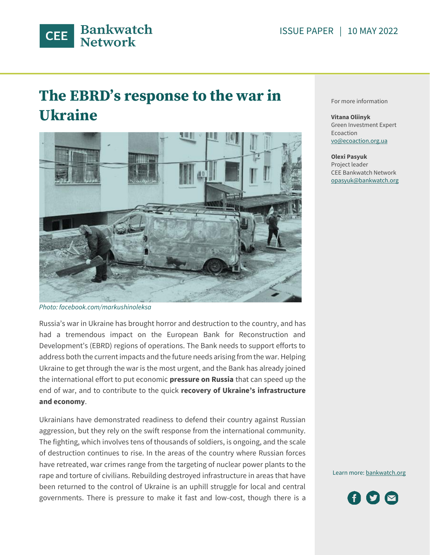

# **The EBRD's response to the war in Ukraine**



*Photo: facebook.com/markushinoleksa*

Russia's war in Ukraine has brought horror and destruction to the country, and has had a tremendous impact on the European Bank for Reconstruction and Development's (EBRD) regions of operations. The Bank needs to support efforts to address both the current impacts and the future needs arising from the war. Helping Ukraine to get through the war is the most urgent, and the Bank has already joined the international effort to put economic **pressure on Russia** that can speed up the end of war, and to contribute to the quick **recovery of Ukraine's infrastructure and economy**.

Ukrainians have demonstrated readiness to defend their country against Russian aggression, but they rely on the swift response from the international community. The fighting, which involves tens of thousands of soldiers, is ongoing, and the scale of destruction continues to rise. In the areas of the country where Russian forces have retreated, war crimes range from the targeting of nuclear power plants to the rape and torture of civilians. Rebuilding destroyed infrastructure in areas that have been returned to the control of Ukraine is an uphill struggle for local and central governments. There is pressure to make it fast and low-cost, though there is a

For more information

**Vitana Oliinyk** Green Investment Expert Ecoaction [vo@ecoaction.org.ua](mailto:vo@ecoaction.org.ua)

```
Olexi Pasyuk
Project leader
CEE Bankwatch Network
opasyuk@bankwatch.org
```
Learn more[: bankwatch.org](http://bankwatch.org/)

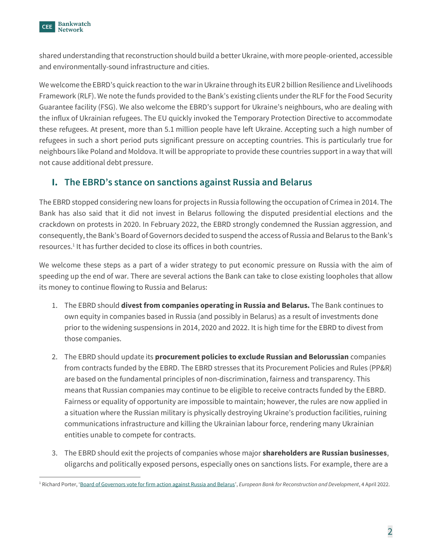

shared understanding that reconstruction should build a better Ukraine, with more people-oriented, accessible and environmentally-sound infrastructure and cities.

We welcome the EBRD's quick reaction to the war in Ukraine through its EUR 2 billion Resilience and Livelihoods Framework (RLF). We note the funds provided to the Bank's existing clients under the RLF for the Food Security Guarantee facility (FSG). We also welcome the EBRD's support for Ukraine's neighbours, who are dealing with the influx of Ukrainian refugees. The EU quickly invoked the Temporary Protection Directive to accommodate these refugees. At present, more than 5.1 million people have left Ukraine. Accepting such a high number of refugees in such a short period puts significant pressure on accepting countries. This is particularly true for neighbours like Poland and Moldova. It will be appropriate to provide these countries support in a way that will not cause additional debt pressure.

# **I. The EBRD's stance on sanctions against Russia and Belarus**

The EBRD stopped considering new loans for projects in Russia following the occupation of Crimea in 2014. The Bank has also said that it did not invest in Belarus following the disputed presidential elections and the crackdown on protests in 2020. In February 2022, the EBRD strongly condemned the Russian aggression, and consequently, the Bank's Board of Governors decided to suspend the access of Russia and Belarus to the Bank's resources.<sup>1</sup> It has further decided to close its offices in both countries.

We welcome these steps as a part of a wider strategy to put economic pressure on Russia with the aim of speeding up the end of war. There are several actions the Bank can take to close existing loopholes that allow its money to continue flowing to Russia and Belarus:

- 1. The EBRD should **divest from companies operating in Russia and Belarus.** The Bank continues to own equity in companies based in Russia (and possibly in Belarus) as a result of investments done prior to the widening suspensions in 2014, 2020 and 2022. It is high time for the EBRD to divest from those companies.
- 2. The EBRD should update its **procurement policies to exclude Russian and Belorussian** companies from contracts funded by the EBRD. The EBRD stresses that its Procurement Policies and Rules (PP&R) are based on the fundamental principles of non-discrimination, fairness and transparency. This means that Russian companies may continue to be eligible to receive contracts funded by the EBRD. Fairness or equality of opportunity are impossible to maintain; however, the rules are now applied in a situation where the Russian military is physically destroying Ukraine's production facilities, ruining communications infrastructure and killing the Ukrainian labour force, rendering many Ukrainian entities unable to compete for contracts.
- 3. The EBRD should exit the projects of companies whose major **shareholders are Russian businesses**, oligarchs and politically exposed persons, especially ones on sanctions lists. For example, there are a

<sup>1</sup> Richard Porter, '[Board of Governors vote for firm action against Russia and Belarus](https://www.ebrd.com/news/2022/board-of-governors-vote-for-firm-action-against-russia-and-belarus.html)', *European Bank for Reconstruction and Development*, 4 April 2022.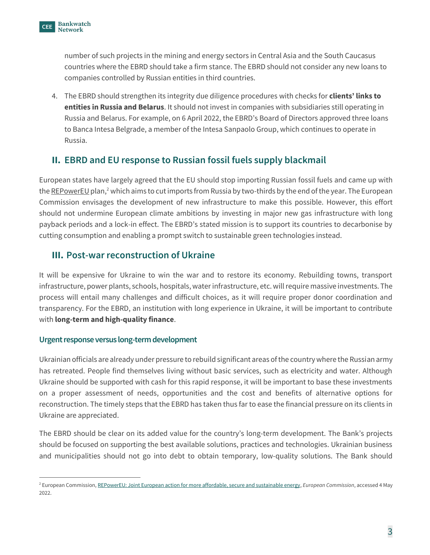

number of such projects in the mining and energy sectors in Central Asia and the South Caucasus countries where the EBRD should take a firm stance. The EBRD should not consider any new loans to companies controlled by Russian entities in third countries.

4. The EBRD should strengthen its integrity due diligence procedures with checks for **clients' links to entities in Russia and Belarus**. It should not invest in companies with subsidiaries still operating in Russia and Belarus. For example, on 6 April 2022, the EBRD's Board of Directors approved three loans to Banca Intesa Belgrade, a member of the Intesa Sanpaolo Group, which continues to operate in Russia.

# **II. EBRD and EU response to Russian fossil fuels supply blackmail**

European states have largely agreed that the EU should stop importing Russian fossil fuels and came up with the REPowerEU plan,<sup>2</sup> which aims to cut imports from Russia by two-thirds by the end of the year. The European Commission envisages the development of new infrastructure to make this possible. However, this effort should not undermine European climate ambitions by investing in major new gas infrastructure with long payback periods and a lock-in effect. The EBRD's stated mission is to support its countries to decarbonise by cutting consumption and enabling a prompt switch to sustainable green technologies instead.

### **III. Post-war reconstruction of Ukraine**

It will be expensive for Ukraine to win the war and to restore its economy. Rebuilding towns, transport infrastructure, power plants, schools, hospitals, water infrastructure, etc. will require massive investments. The process will entail many challenges and difficult choices, as it will require proper donor coordination and transparency. For the EBRD, an institution with long experience in Ukraine, it will be important to contribute with **long-term and high-quality finance**.

#### **Urgent response versus long-term development**

Ukrainian officials are already under pressure to rebuild significant areas of the country where the Russian army has retreated. People find themselves living without basic services, such as electricity and water. Although Ukraine should be supported with cash for this rapid response, it will be important to base these investments on a proper assessment of needs, opportunities and the cost and benefits of alternative options for reconstruction. The timely steps that the EBRD has taken thus far to ease the financial pressure on its clients in Ukraine are appreciated.

The EBRD should be clear on its added value for the country's long-term development. The Bank's projects should be focused on supporting the best available solutions, practices and technologies. Ukrainian business and municipalities should not go into debt to obtain temporary, low-quality solutions. The Bank should

<sup>2</sup> European Commission[, REPowerEU: Joint European action for more affordable, secure and sustainable energy,](https://ec.europa.eu/commission/presscorner/detail/en/ip_22_1511) *European Commission*, accessed 4 May 2022.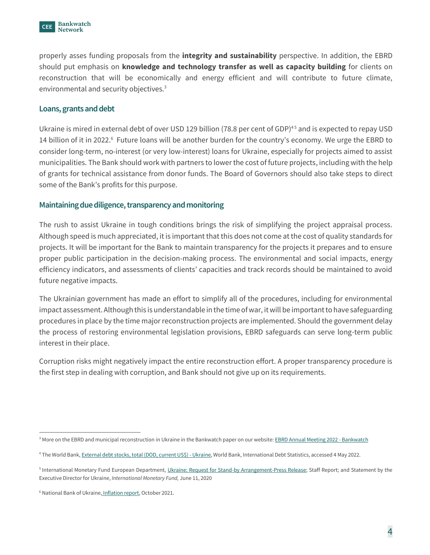

properly asses funding proposals from the **integrity and sustainability** perspective. In addition, the EBRD should put emphasis on **knowledge and technology transfer as well as capacity building** for clients on reconstruction that will be economically and energy efficient and will contribute to future climate, environmental and security objectives.<sup>3</sup>

#### **Loans, grants and debt**

Ukraine is mired in external debt of over USD 129 billion (78.8 per cent of GDP)<sup>45</sup> and is expected to repay USD 14 billion of it in 2022.<sup>6</sup> Future loans will be another burden for the country's economy. We urge the EBRD to consider long-term, no-interest (or very low-interest) loans for Ukraine, especially for projects aimed to assist municipalities. The Bank should work with partners to lower the cost of future projects, including with the help of grants for technical assistance from donor funds. The Board of Governors should also take steps to direct some of the Bank's profits for this purpose.

#### **Maintaining due diligence, transparency and monitoring**

The rush to assist Ukraine in tough conditions brings the risk of simplifying the project appraisal process. Although speed is much appreciated, it is important that this does not come at the cost of quality standards for projects. It will be important for the Bank to maintain transparency for the projects it prepares and to ensure proper public participation in the decision-making process. The environmental and social impacts, energy efficiency indicators, and assessments of clients' capacities and track records should be maintained to avoid future negative impacts.

The Ukrainian government has made an effort to simplify all of the procedures, including for environmental impact assessment. Although this is understandable in the time of war, it will be important to have safeguarding procedures in place by the time major reconstruction projects are implemented. Should the government delay the process of restoring environmental legislation provisions, EBRD safeguards can serve long-term public interest in their place.

Corruption risks might negatively impact the entire reconstruction effort. A proper transparency procedure is the first step in dealing with corruption, and Bank should not give up on its requirements.

<sup>&</sup>lt;sup>3</sup> More on the EBRD and municipal reconstruction in Ukraine in the Bankwatch paper on our website: [EBRD Annual Meeting 2022 -](https://bankwatch.org/ebrd-annual-meeting-2022) Bankwatch

<sup>&</sup>lt;sup>4</sup> The World Bank[, External debt stocks, total \(DOD, current US\\$\) -](https://data.worldbank.org/indicator/DT.DOD.DECT.CD?locations=UA) Ukraine, World Bank, International Debt Statistics, accessed 4 May 2022.

<sup>&</sup>lt;sup>5</sup> International Monetary Fund European Department, [Ukraine: Request for Stand-by Arrangement-Press Release;](https://www.imf.org/en/Publications/CR/Issues/2020/06/10/Ukraine-Request-for-Stand-by-Arrangement-Press-Release-Staff-Report-and-Statement-by-the-49501) Staff Report; and Statement by the Executive Director for Ukraine, *International Monetary Fund,* June 11, 2020

<sup>6</sup> [National Bank of Ukraine,](https://bank.gov.ua/en/news/all/inflyatsiyniy-zvit-jovten-2021-roku) Inflation report, October 2021.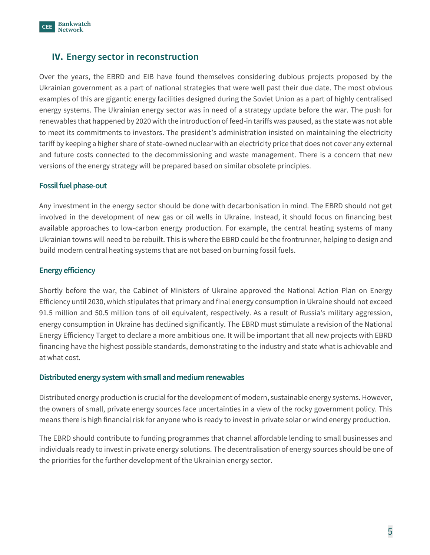

## **IV. Energy sector in reconstruction**

Over the years, the EBRD and EIB have found themselves considering dubious projects proposed by the Ukrainian government as a part of national strategies that were well past their due date. The most obvious examples of this are gigantic energy facilities designed during the Soviet Union as a part of highly centralised energy systems. The Ukrainian energy sector was in need of a strategy update before the war. The push for renewables that happened by 2020 with the introduction of feed-in tariffs was paused, as the state was not able to meet its commitments to investors. The president's administration insisted on maintaining the electricity tariff by keeping a higher share of state-owned nuclear with an electricity price that does not cover any external and future costs connected to the decommissioning and waste management. There is a concern that new versions of the energy strategy will be prepared based on similar obsolete principles.

#### **Fossil fuel phase-out**

Any investment in the energy sector should be done with decarbonisation in mind. The EBRD should not get involved in the development of new gas or oil wells in Ukraine. Instead, it should focus on financing best available approaches to low-carbon energy production. For example, the central heating systems of many Ukrainian towns will need to be rebuilt. This is where the EBRD could be the frontrunner, helping to design and build modern central heating systems that are not based on burning fossil fuels.

#### **Energy efficiency**

Shortly before the war, the Cabinet of Ministers of Ukraine approved the National Action Plan on Energy Efficiency until 2030, which stipulates that primary and final energy consumption in Ukraine should not exceed 91.5 million and 50.5 million tons of oil equivalent, respectively. As a result of Russia's military aggression, energy consumption in Ukraine has declined significantly. The EBRD must stimulate a revision of the National Energy Efficiency Target to declare a more ambitious one. It will be important that all new projects with EBRD financing have the highest possible standards, demonstrating to the industry and state what is achievable and at what cost.

#### **Distributed energy system with small and medium renewables**

Distributed energy production is crucial for the development of modern, sustainable energy systems. However, the owners of small, private energy sources face uncertainties in a view of the rocky government policy. This means there is high financial risk for anyone who is ready to invest in private solar or wind energy production.

The EBRD should contribute to funding programmes that channel affordable lending to small businesses and individuals ready to invest in private energy solutions. The decentralisation of energy sources should be one of the priorities for the further development of the Ukrainian energy sector.